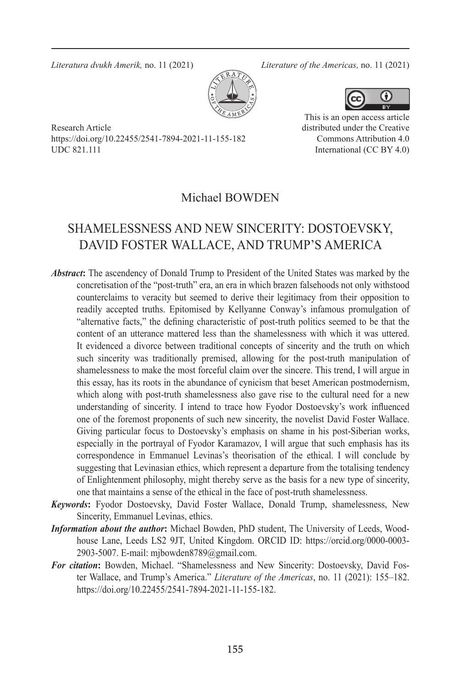*Literatura dvukh Amerik,* no. 11 (2021) *Literature of the Americas,* no. 11 (2021)





Research Article https://doi.org/10.22455/2541-7894-2021-11-155-182 UDC 821.111

This is an open access article distributed under the Creative Commons Attribution 4.0 International (CC BY 4.0)

## Michael BOWDEN

# SHAMELESSNESS AND NEW SINCERITY: DOSTOEVSKY, DAVID FOSTER WALLACE, AND TRUMP'S AMERICA

- *Abstract***:** The ascendency of Donald Trump to President of the United States was marked by the concretisation of the "post-truth" era, an era in which brazen falsehoods not only withstood counterclaims to veracity but seemed to derive their legitimacy from their opposition to readily accepted truths. Epitomised by Kellyanne Conway's infamous promulgation of "alternative facts," the defining characteristic of post-truth politics seemed to be that the content of an utterance mattered less than the shamelessness with which it was uttered. It evidenced a divorce between traditional concepts of sincerity and the truth on which such sincerity was traditionally premised, allowing for the post-truth manipulation of shamelessness to make the most forceful claim over the sincere. This trend, I will argue in this essay, has its roots in the abundance of cynicism that beset American postmodernism, which along with post-truth shamelessness also gave rise to the cultural need for a new understanding of sincerity. I intend to trace how Fyodor Dostoevsky's work influenced one of the foremost proponents of such new sincerity, the novelist David Foster Wallace. Giving particular focus to Dostoevsky's emphasis on shame in his post-Siberian works, especially in the portrayal of Fyodor Karamazov, I will argue that such emphasis has its correspondence in Emmanuel Levinas's theorisation of the ethical. I will conclude by suggesting that Levinasian ethics, which represent a departure from the totalising tendency of Enlightenment philosophy, might thereby serve as the basis for a new type of sincerity, one that maintains a sense of the ethical in the face of post-truth shamelessness.
- *Keywords***:** Fyodor Dostoevsky, David Foster Wallace, Donald Trump, shamelessness, New Sincerity, Emmanuel Levinas, ethics.
- *Information about the author***:** Michael Bowden, PhD student, The University of Leeds, Woodhouse Lane, Leeds LS2 9JT, United Kingdom. ORCID ID: https://orcid.org/0000-0003- 2903-5007. E-mail: mjbowden8789@gmail.com.
- *For citation***:** Bowden, Michael. "Shamelessness and New Sincerity: Dostoevsky, David Foster Wallace, and Trump's America." *Literature of the Americas*, no. 11 (2021): 155–182. https://doi.org/10.22455/2541-7894-2021-11-155-182.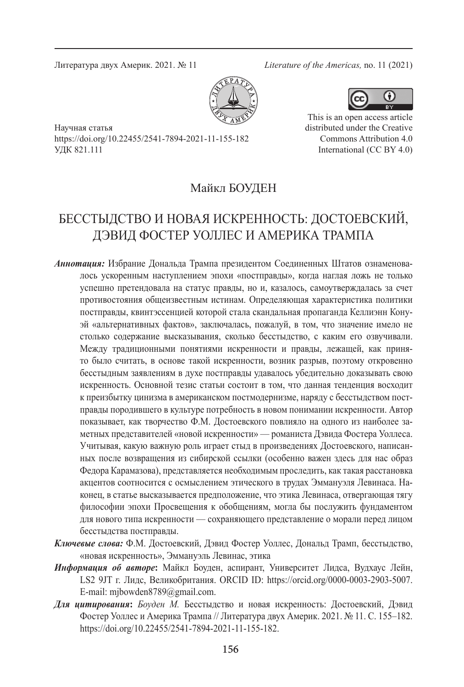Литература двух Америк. 2021. № 11 *Literature of the Americas,* no. 11 (2021)





This is an open access article distributed under the Creative Commons Attribution 4.0 International (CC BY 4.0)

Научная статья https://doi.org/10.22455/2541-7894-2021-11-155-182 УДК 821.111

## Майкл БОУДЕН

# БЕССТЫДСТВО И НОВАЯ ИСКРЕННОСТЬ: ДОСТОЕВСКИЙ, ДЭВИД ФОСТЕР УОЛЛЕС И АМЕРИКА ТРАМПА

- *Аннотация:* Избрание Дональда Трампа президентом Соединенных Штатов ознаменовалось ускоренным наступлением эпохи «постправды», когда наглая ложь не только успешно претендовала на статус правды, но и, казалось, самоутверждалась за счет противостояния общеизвестным истинам. Определяющая характеристика политики постправды, квинтэссенцией которой стала скандальная пропаганда Келлиэнн Конуэй «альтернативных фактов», заключалась, пожалуй, в том, что значение имело не столько содержание высказывания, сколько бесстыдство, с каким его озвучивали. Между традиционными понятиями искренности и правды, лежащей, как принято было считать, в основе такой искренности, возник разрыв, поэтому откровенно бесстыдным заявлениям в духе постправды удавалось убедительно доказывать свою искренность. Основной тезис статьи состоит в том, что данная тенденция восходит к преизбытку цинизма в американском постмодернизме, наряду с бесстыдством постправды породившего в культуре потребность в новом понимании искренности. Автор показывает, как творчество Ф.М. Достоевского повлияло на одного из наиболее заметных представителей «новой искренности» — романиста Дэвида Фостера Уоллеса. Учитывая, какую важную роль играет стыд в произведениях Достоевского, написанных после возвращения из сибирской ссылки (особенно важен здесь для нас образ Федора Карамазова), представляется необходимым проследить, как такая расстановка акцентов соотносится с осмыслением этического в трудах Эммануэля Левинаса. Наконец, в статье высказывается предположение, что этика Левинаса, отвергающая тягу философии эпохи Просвещения к обобщениям, могла бы послужить фундаментом для нового типа искренности — сохраняющего представление о морали перед лицом бесстыдства постправды.
- *Ключевые слова:* Ф.М. Достоевский, Дэвид Фостер Уоллес, Дональд Трамп, бесстыдство, «новая искренность», Эммануэль Левинас, этика
- *Информация об авторе***:** Майкл Боуден, аспирант, Университет Лидса, Вудхаус Лейн, LS2 9JT г. Лидс, Великобритания. ORCID ID: https://orcid.org/0000-0003-2903-5007. E-mail: mjbowden8789@gmail.com.
- *Для цитирования***:** *Боуден М.* Бесстыдство и новая искренность: Достоевский, Дэвид Фостер Уоллес и Америка Трампа // Литература двух Америк. 2021. № 11. С. 155–182. https://doi.org/10.22455/2541-7894-2021-11-155-182.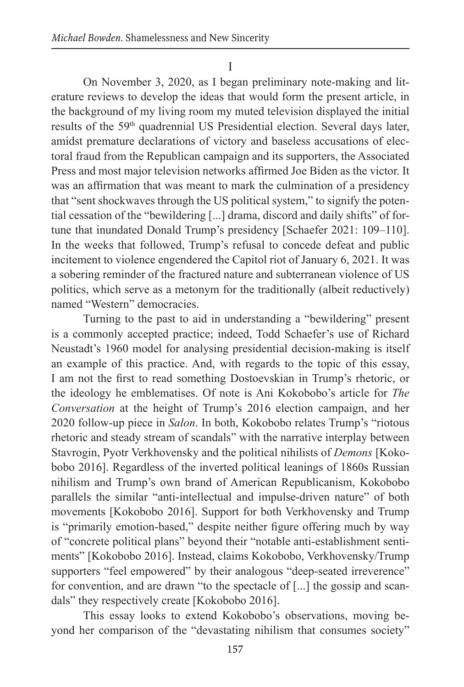I

On November 3, 2020, as I began preliminary note-making and literature reviews to develop the ideas that would form the present article, in the background of my living room my muted television displayed the initial results of the 59<sup>th</sup> quadrennial US Presidential election. Several days later, amidst premature declarations of victory and baseless accusations of electoral fraud from the Republican campaign and its supporters, the Associated Press and most major television networks affirmed Joe Biden as the victor. It was an affirmation that was meant to mark the culmination of a presidency that "sent shockwaves through the US political system," to signify the potential cessation of the "bewildering [...] drama, discord and daily shifts" of fortune that inundated Donald Trump's presidency [Schaefer 2021: 109–110]. In the weeks that followed, Trump's refusal to concede defeat and public incitement to violence engendered the Capitol riot of January 6, 2021. It was a sobering reminder of the fractured nature and subterranean violence of US politics, which serve as a metonym for the traditionally (albeit reductively) named "Western" democracies.

Turning to the past to aid in understanding a "bewildering" present is a commonly accepted practice; indeed, Todd Schaefer's use of Richard Neustadt's 1960 model for analysing presidential decision-making is itself an example of this practice. And, with regards to the topic of this essay, I am not the first to read something Dostoevskian in Trump's rhetoric, or the ideology he emblematises. Of note is Ani Kokobobo's article for *The Conversation* at the height of Trump's 2016 election campaign, and her 2020 follow-up piece in *Salon*. In both, Kokobobo relates Trump's "riotous rhetoric and steady stream of scandals" with the narrative interplay between Stavrogin, Pyotr Verkhovensky and the political nihilists of *Demons* [Kokobobo 2016]. Regardless of the inverted political leanings of 1860s Russian nihilism and Trump's own brand of American Republicanism, Kokobobo parallels the similar "anti-intellectual and impulse-driven nature" of both movements [Kokobobo 2016]. Support for both Verkhovensky and Trump is "primarily emotion-based," despite neither figure offering much by way of "concrete political plans" beyond their "notable anti-establishment sentiments" [Kokobobo 2016]. Instead, claims Kokobobo, Verkhovensky/Trump supporters "feel empowered" by their analogous "deep-seated irreverence" for convention, and are drawn "to the spectacle of [...] the gossip and scandals" they respectively create [Kokobobo 2016].

This essay looks to extend Kokobobo's observations, moving beyond her comparison of the "devastating nihilism that consumes society"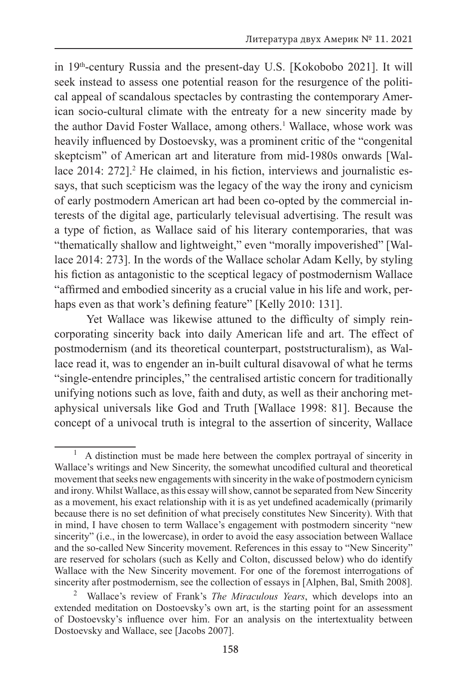in 19th-century Russia and the present-day U.S. [Kokobobo 2021]. It will seek instead to assess one potential reason for the resurgence of the political appeal of scandalous spectacles by contrasting the contemporary American socio-cultural climate with the entreaty for a new sincerity made by the author David Foster Wallace, among others.<sup>1</sup> Wallace, whose work was heavily influenced by Dostoevsky, was a prominent critic of the "congenital skeptcism" of American art and literature from mid-1980s onwards [Wallace 2014: 272].<sup>2</sup> He claimed, in his fiction, interviews and journalistic essays, that such scepticism was the legacy of the way the irony and cynicism of early postmodern American art had been co-opted by the commercial interests of the digital age, particularly televisual advertising. The result was a type of fiction, as Wallace said of his literary contemporaries, that was "thematically shallow and lightweight," even "morally impoverished" [Wallace 2014: 273]. In the words of the Wallace scholar Adam Kelly, by styling his fiction as antagonistic to the sceptical legacy of postmodernism Wallace "affirmed and embodied sincerity as a crucial value in his life and work, perhaps even as that work's defining feature" [Kelly 2010: 131].

Yet Wallace was likewise attuned to the difficulty of simply reincorporating sincerity back into daily American life and art. The effect of postmodernism (and its theoretical counterpart, poststructuralism), as Wallace read it, was to engender an in-built cultural disavowal of what he terms "single-entendre principles," the centralised artistic concern for traditionally unifying notions such as love, faith and duty, as well as their anchoring metaphysical universals like God and Truth [Wallace 1998: 81]. Because the concept of a univocal truth is integral to the assertion of sincerity, Wallace

<sup>1</sup> A distinction must be made here between the complex portrayal of sincerity in Wallace's writings and New Sincerity, the somewhat uncodified cultural and theoretical movement that seeks new engagements with sincerity in the wake of postmodern cynicism and irony. Whilst Wallace, as this essay will show, cannot be separated from New Sincerity as a movement, his exact relationship with it is as yet undefined academically (primarily because there is no set definition of what precisely constitutes New Sincerity). With that in mind, I have chosen to term Wallace's engagement with postmodern sincerity "new sincerity" (i.e., in the lowercase), in order to avoid the easy association between Wallace and the so-called New Sincerity movement. References in this essay to "New Sincerity" are reserved for scholars (such as Kelly and Colton, discussed below) who do identify Wallace with the New Sincerity movement. For one of the foremost interrogations of sincerity after postmodernism, see the collection of essays in [Alphen, Bal, Smith 2008].

Wallace's review of Frank's *The Miraculous Years*, which develops into an extended meditation on Dostoevsky's own art, is the starting point for an assessment of Dostoevsky's influence over him. For an analysis on the intertextuality between Dostoevsky and Wallace, see [Jacobs 2007].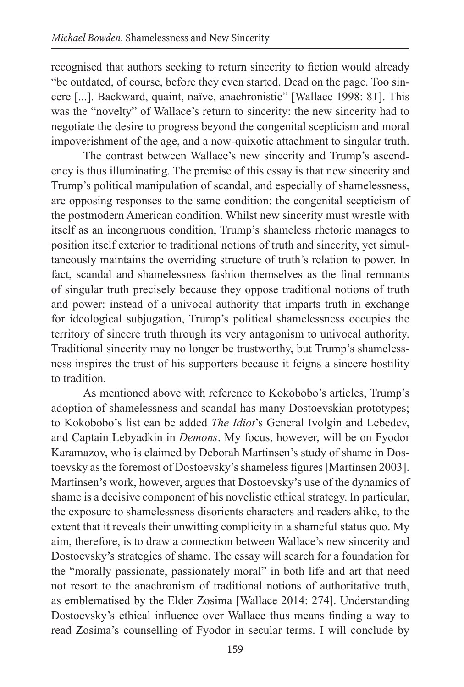recognised that authors seeking to return sincerity to fiction would already "be outdated, of course, before they even started. Dead on the page. Too sincere [...]. Backward, quaint, naïve, anachronistic" [Wallace 1998: 81]. This was the "novelty" of Wallace's return to sincerity: the new sincerity had to negotiate the desire to progress beyond the congenital scepticism and moral impoverishment of the age, and a now-quixotic attachment to singular truth.

The contrast between Wallace's new sincerity and Trump's ascendency is thus illuminating. The premise of this essay is that new sincerity and Trump's political manipulation of scandal, and especially of shamelessness, are opposing responses to the same condition: the congenital scepticism of the postmodern American condition. Whilst new sincerity must wrestle with itself as an incongruous condition, Trump's shameless rhetoric manages to position itself exterior to traditional notions of truth and sincerity, yet simultaneously maintains the overriding structure of truth's relation to power. In fact, scandal and shamelessness fashion themselves as the final remnants of singular truth precisely because they oppose traditional notions of truth and power: instead of a univocal authority that imparts truth in exchange for ideological subjugation, Trump's political shamelessness occupies the territory of sincere truth through its very antagonism to univocal authority. Traditional sincerity may no longer be trustworthy, but Trump's shamelessness inspires the trust of his supporters because it feigns a sincere hostility to tradition.

As mentioned above with reference to Kokobobo's articles, Trump's adoption of shamelessness and scandal has many Dostoevskian prototypes; to Kokobobo's list can be added *The Idiot*'s General Ivolgin and Lebedev, and Captain Lebyadkin in *Demons*. My focus, however, will be on Fyodor Karamazov, who is claimed by Deborah Martinsen's study of shame in Dostoevsky as the foremost of Dostoevsky's shameless figures [Martinsen 2003]. Martinsen's work, however, argues that Dostoevsky's use of the dynamics of shame is a decisive component of his novelistic ethical strategy. In particular, the exposure to shamelessness disorients characters and readers alike, to the extent that it reveals their unwitting complicity in a shameful status quo. My aim, therefore, is to draw a connection between Wallace's new sincerity and Dostoevsky's strategies of shame. The essay will search for a foundation for the "morally passionate, passionately moral" in both life and art that need not resort to the anachronism of traditional notions of authoritative truth, as emblematised by the Elder Zosima [Wallace 2014: 274]. Understanding Dostoevsky's ethical influence over Wallace thus means finding a way to read Zosima's counselling of Fyodor in secular terms. I will conclude by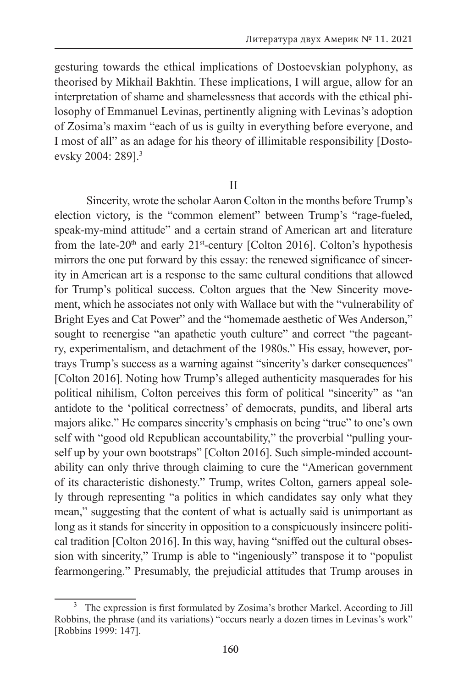gesturing towards the ethical implications of Dostoevskian polyphony, as theorised by Mikhail Bakhtin. These implications, I will argue, allow for an interpretation of shame and shamelessness that accords with the ethical philosophy of Emmanuel Levinas, pertinently aligning with Levinas's adoption of Zosima's maxim "each of us is guilty in everything before everyone, and I most of all" as an adage for his theory of illimitable responsibility [Dostoevsky 2004: 289].3

II

Sincerity, wrote the scholar Aaron Colton in the months before Trump's election victory, is the "common element" between Trump's "rage-fueled, speak-my-mind attitude" and a certain strand of American art and literature from the late-20<sup>th</sup> and early 21<sup>st</sup>-century [Colton 2016]. Colton's hypothesis mirrors the one put forward by this essay: the renewed significance of sincerity in American art is a response to the same cultural conditions that allowed for Trump's political success. Colton argues that the New Sincerity movement, which he associates not only with Wallace but with the "vulnerability of Bright Eyes and Cat Power" and the "homemade aesthetic of Wes Anderson," sought to reenergise "an apathetic youth culture" and correct "the pageantry, experimentalism, and detachment of the 1980s." His essay, however, portrays Trump's success as a warning against "sincerity's darker consequences" [Colton 2016]. Noting how Trump's alleged authenticity masquerades for his political nihilism, Colton perceives this form of political "sincerity" as "an antidote to the 'political correctness' of democrats, pundits, and liberal arts majors alike." He compares sincerity's emphasis on being "true" to one's own self with "good old Republican accountability," the proverbial "pulling yourself up by your own bootstraps" [Colton 2016]. Such simple-minded accountability can only thrive through claiming to cure the "American government of its characteristic dishonesty." Trump, writes Colton, garners appeal solely through representing "a politics in which candidates say only what they mean," suggesting that the content of what is actually said is unimportant as long as it stands for sincerity in opposition to a conspicuously insincere political tradition [Colton 2016]. In this way, having "sniffed out the cultural obsession with sincerity," Trump is able to "ingeniously" transpose it to "populist fearmongering." Presumably, the prejudicial attitudes that Trump arouses in

 $3\text{ The expression is first formulated by Zosima's brother Markel. According to Jill}$ Robbins, the phrase (and its variations) "occurs nearly a dozen times in Levinas's work" [Robbins 1999: 147].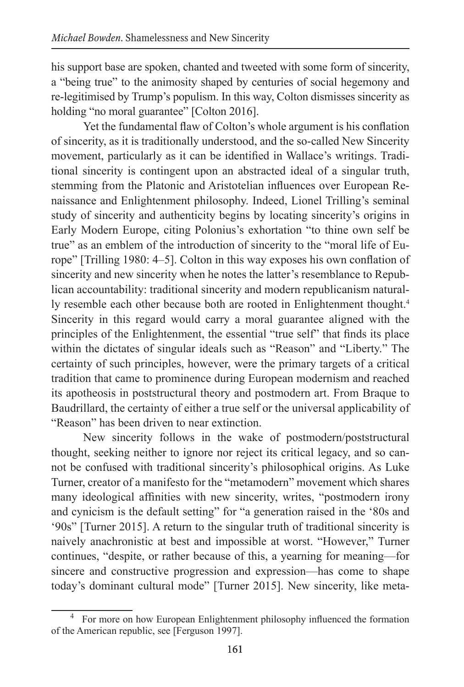his support base are spoken, chanted and tweeted with some form of sincerity, a "being true" to the animosity shaped by centuries of social hegemony and re-legitimised by Trump's populism. In this way, Colton dismisses sincerity as holding "no moral guarantee" [Colton 2016].

Yet the fundamental flaw of Colton's whole argument is his conflation of sincerity, as it is traditionally understood, and the so-called New Sincerity movement, particularly as it can be identified in Wallace's writings. Traditional sincerity is contingent upon an abstracted ideal of a singular truth, stemming from the Platonic and Aristotelian influences over European Renaissance and Enlightenment philosophy. Indeed, Lionel Trilling's seminal study of sincerity and authenticity begins by locating sincerity's origins in Early Modern Europe, citing Polonius's exhortation "to thine own self be true" as an emblem of the introduction of sincerity to the "moral life of Europe" [Trilling 1980: 4–5]. Colton in this way exposes his own conflation of sincerity and new sincerity when he notes the latter's resemblance to Republican accountability: traditional sincerity and modern republicanism naturally resemble each other because both are rooted in Enlightenment thought.<sup>4</sup> Sincerity in this regard would carry a moral guarantee aligned with the principles of the Enlightenment, the essential "true self" that finds its place within the dictates of singular ideals such as "Reason" and "Liberty." The certainty of such principles, however, were the primary targets of a critical tradition that came to prominence during European modernism and reached its apotheosis in poststructural theory and postmodern art. From Braque to Baudrillard, the certainty of either a true self or the universal applicability of "Reason" has been driven to near extinction.

New sincerity follows in the wake of postmodern/poststructural thought, seeking neither to ignore nor reject its critical legacy, and so cannot be confused with traditional sincerity's philosophical origins. As Luke Turner, creator of a manifesto for the "metamodern" movement which shares many ideological affinities with new sincerity, writes, "postmodern irony and cynicism is the default setting" for "a generation raised in the '80s and '90s" [Turner 2015]. A return to the singular truth of traditional sincerity is naively anachronistic at best and impossible at worst. "However," Turner continues, "despite, or rather because of this, a yearning for meaning—for sincere and constructive progression and expression—has come to shape today's dominant cultural mode" [Turner 2015]. New sincerity, like meta-

<sup>4</sup> For more on how European Enlightenment philosophy influenced the formation of the American republic, see [Ferguson 1997].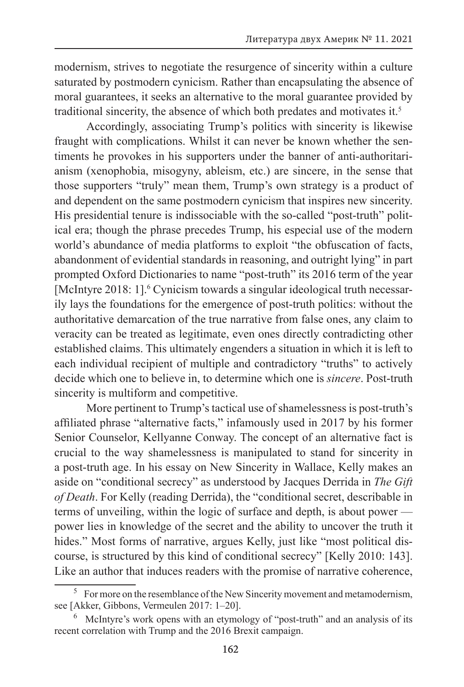modernism, strives to negotiate the resurgence of sincerity within a culture saturated by postmodern cynicism. Rather than encapsulating the absence of moral guarantees, it seeks an alternative to the moral guarantee provided by traditional sincerity, the absence of which both predates and motivates it.5

Accordingly, associating Trump's politics with sincerity is likewise fraught with complications. Whilst it can never be known whether the sentiments he provokes in his supporters under the banner of anti-authoritarianism (xenophobia, misogyny, ableism, etc.) are sincere, in the sense that those supporters "truly" mean them, Trump's own strategy is a product of and dependent on the same postmodern cynicism that inspires new sincerity. His presidential tenure is indissociable with the so-called "post-truth" political era; though the phrase precedes Trump, his especial use of the modern world's abundance of media platforms to exploit "the obfuscation of facts, abandonment of evidential standards in reasoning, and outright lying" in part prompted Oxford Dictionaries to name "post-truth" its 2016 term of the year [McIntyre 2018: 1].<sup>6</sup> Cynicism towards a singular ideological truth necessarily lays the foundations for the emergence of post-truth politics: without the authoritative demarcation of the true narrative from false ones, any claim to veracity can be treated as legitimate, even ones directly contradicting other established claims. This ultimately engenders a situation in which it is left to each individual recipient of multiple and contradictory "truths" to actively decide which one to believe in, to determine which one is *sincere*. Post-truth sincerity is multiform and competitive.

More pertinent to Trump's tactical use of shamelessness is post-truth's affiliated phrase "alternative facts," infamously used in 2017 by his former Senior Counselor, Kellyanne Conway. The concept of an alternative fact is crucial to the way shamelessness is manipulated to stand for sincerity in a post-truth age. In his essay on New Sincerity in Wallace, Kelly makes an aside on "conditional secrecy" as understood by Jacques Derrida in *The Gift of Death*. For Kelly (reading Derrida), the "conditional secret, describable in terms of unveiling, within the logic of surface and depth, is about power power lies in knowledge of the secret and the ability to uncover the truth it hides." Most forms of narrative, argues Kelly, just like "most political discourse, is structured by this kind of conditional secrecy" [Kelly 2010: 143]. Like an author that induces readers with the promise of narrative coherence,

<sup>&</sup>lt;sup>5</sup> For more on the resemblance of the New Sincerity movement and metamodernism, see [Akker, Gibbons, Vermeulen 2017: 1–20].

McIntyre's work opens with an etymology of "post-truth" and an analysis of its recent correlation with Trump and the 2016 Brexit campaign.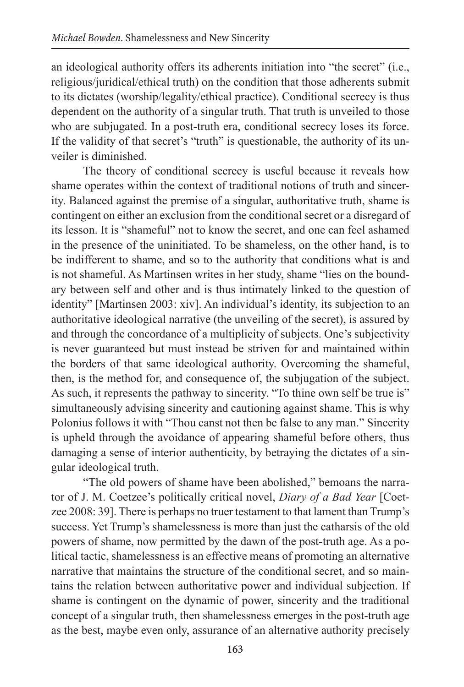an ideological authority offers its adherents initiation into "the secret" (i.e., religious/juridical/ethical truth) on the condition that those adherents submit to its dictates (worship/legality/ethical practice). Conditional secrecy is thus dependent on the authority of a singular truth. That truth is unveiled to those who are subjugated. In a post-truth era, conditional secrecy loses its force. If the validity of that secret's "truth" is questionable, the authority of its unveiler is diminished.

The theory of conditional secrecy is useful because it reveals how shame operates within the context of traditional notions of truth and sincerity. Balanced against the premise of a singular, authoritative truth, shame is contingent on either an exclusion from the conditional secret or a disregard of its lesson. It is "shameful" not to know the secret, and one can feel ashamed in the presence of the uninitiated. To be shameless, on the other hand, is to be indifferent to shame, and so to the authority that conditions what is and is not shameful. As Martinsen writes in her study, shame "lies on the boundary between self and other and is thus intimately linked to the question of identity" [Martinsen 2003: xiv]. An individual's identity, its subjection to an authoritative ideological narrative (the unveiling of the secret), is assured by and through the concordance of a multiplicity of subjects. One's subjectivity is never guaranteed but must instead be striven for and maintained within the borders of that same ideological authority. Overcoming the shameful, then, is the method for, and consequence of, the subjugation of the subject. As such, it represents the pathway to sincerity. "To thine own self be true is" simultaneously advising sincerity and cautioning against shame. This is why Polonius follows it with "Thou canst not then be false to any man." Sincerity is upheld through the avoidance of appearing shameful before others, thus damaging a sense of interior authenticity, by betraying the dictates of a singular ideological truth.

"The old powers of shame have been abolished," bemoans the narrator of J. M. Coetzee's politically critical novel, *Diary of a Bad Year* [Coetzee 2008: 39]. There is perhaps no truer testament to that lament than Trump's success. Yet Trump's shamelessness is more than just the catharsis of the old powers of shame, now permitted by the dawn of the post-truth age. As a political tactic, shamelessness is an effective means of promoting an alternative narrative that maintains the structure of the conditional secret, and so maintains the relation between authoritative power and individual subjection. If shame is contingent on the dynamic of power, sincerity and the traditional concept of a singular truth, then shamelessness emerges in the post-truth age as the best, maybe even only, assurance of an alternative authority precisely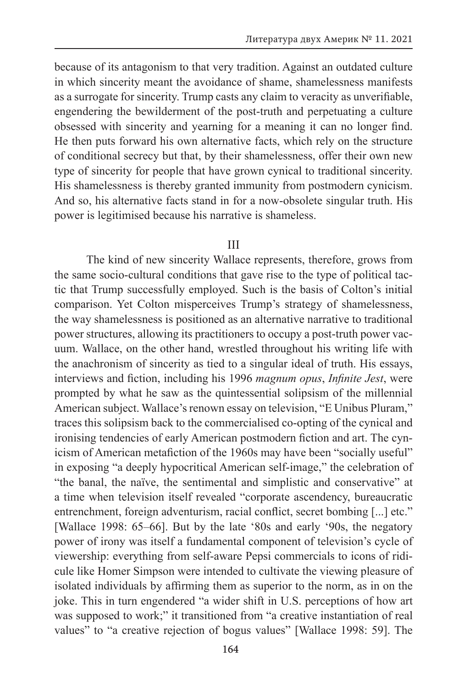because of its antagonism to that very tradition. Against an outdated culture in which sincerity meant the avoidance of shame, shamelessness manifests as a surrogate for sincerity. Trump casts any claim to veracity as unverifiable, engendering the bewilderment of the post-truth and perpetuating a culture obsessed with sincerity and yearning for a meaning it can no longer find. He then puts forward his own alternative facts, which rely on the structure of conditional secrecy but that, by their shamelessness, offer their own new type of sincerity for people that have grown cynical to traditional sincerity. His shamelessness is thereby granted immunity from postmodern cynicism. And so, his alternative facts stand in for a now-obsolete singular truth. His power is legitimised because his narrative is shameless.

### III

The kind of new sincerity Wallace represents, therefore, grows from the same socio-cultural conditions that gave rise to the type of political tactic that Trump successfully employed. Such is the basis of Colton's initial comparison. Yet Colton misperceives Trump's strategy of shamelessness, the way shamelessness is positioned as an alternative narrative to traditional power structures, allowing its practitioners to occupy a post-truth power vacuum. Wallace, on the other hand, wrestled throughout his writing life with the anachronism of sincerity as tied to a singular ideal of truth. His essays, interviews and fiction, including his 1996 *magnum opus*, *Infinite Jest*, were prompted by what he saw as the quintessential solipsism of the millennial American subject. Wallace's renown essay on television, "E Unibus Pluram," traces this solipsism back to the commercialised co-opting of the cynical and ironising tendencies of early American postmodern fiction and art. The cynicism of American metafiction of the 1960s may have been "socially useful" in exposing "a deeply hypocritical American self-image," the celebration of "the banal, the naïve, the sentimental and simplistic and conservative" at a time when television itself revealed "corporate ascendency, bureaucratic entrenchment, foreign adventurism, racial conflict, secret bombing [...] etc." [Wallace 1998: 65–66]. But by the late ʻ80s and early ʻ90s, the negatory power of irony was itself a fundamental component of television's cycle of viewership: everything from self-aware Pepsi commercials to icons of ridicule like Homer Simpson were intended to cultivate the viewing pleasure of isolated individuals by affirming them as superior to the norm, as in on the joke. This in turn engendered "a wider shift in U.S. perceptions of how art was supposed to work;" it transitioned from "a creative instantiation of real values" to "a creative rejection of bogus values" [Wallace 1998: 59]. The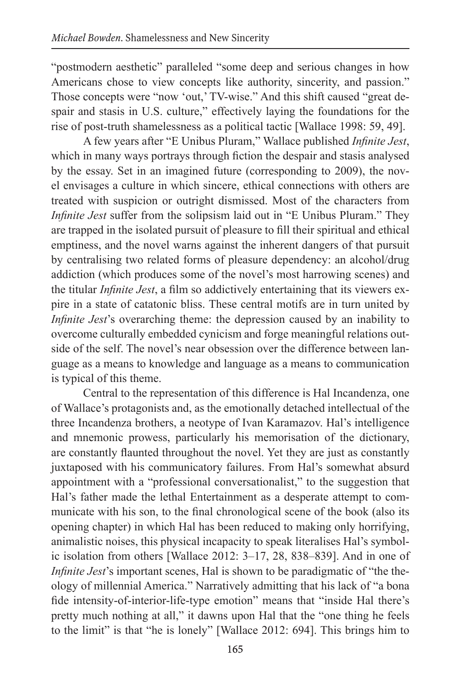"postmodern aesthetic" paralleled "some deep and serious changes in how Americans chose to view concepts like authority, sincerity, and passion." Those concepts were "now 'out,' TV-wise." And this shift caused "great despair and stasis in U.S. culture," effectively laying the foundations for the rise of post-truth shamelessness as a political tactic [Wallace 1998: 59, 49].

A few years after "E Unibus Pluram," Wallace published *Infinite Jest*, which in many ways portrays through fiction the despair and stasis analysed by the essay. Set in an imagined future (corresponding to 2009), the novel envisages a culture in which sincere, ethical connections with others are treated with suspicion or outright dismissed. Most of the characters from *Infinite Jest* suffer from the solipsism laid out in "E Unibus Pluram." They are trapped in the isolated pursuit of pleasure to fill their spiritual and ethical emptiness, and the novel warns against the inherent dangers of that pursuit by centralising two related forms of pleasure dependency: an alcohol/drug addiction (which produces some of the novel's most harrowing scenes) and the titular *Infinite Jest*, a film so addictively entertaining that its viewers expire in a state of catatonic bliss. These central motifs are in turn united by *Infinite Jest*'s overarching theme: the depression caused by an inability to overcome culturally embedded cynicism and forge meaningful relations outside of the self. The novel's near obsession over the difference between language as a means to knowledge and language as a means to communication is typical of this theme.

Central to the representation of this difference is Hal Incandenza, one of Wallace's protagonists and, as the emotionally detached intellectual of the three Incandenza brothers, a neotype of Ivan Karamazov. Hal's intelligence and mnemonic prowess, particularly his memorisation of the dictionary, are constantly flaunted throughout the novel. Yet they are just as constantly juxtaposed with his communicatory failures. From Hal's somewhat absurd appointment with a "professional conversationalist," to the suggestion that Hal's father made the lethal Entertainment as a desperate attempt to communicate with his son, to the final chronological scene of the book (also its opening chapter) in which Hal has been reduced to making only horrifying, animalistic noises, this physical incapacity to speak literalises Hal's symbolic isolation from others [Wallace 2012: 3–17, 28, 838–839]. And in one of *Infinite Jest's* important scenes, Hal is shown to be paradigmatic of "the theology of millennial America." Narratively admitting that his lack of "a bona fide intensity-of-interior-life-type emotion" means that "inside Hal there's pretty much nothing at all," it dawns upon Hal that the "one thing he feels to the limit" is that "he is lonely" [Wallace 2012: 694]. This brings him to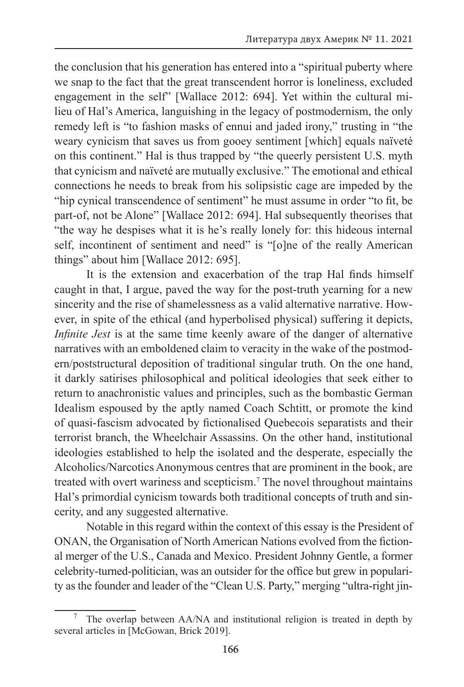the conclusion that his generation has entered into a "spiritual puberty where we snap to the fact that the great transcendent horror is loneliness, excluded engagement in the self" [Wallace 2012: 694]. Yet within the cultural milieu of Hal's America, languishing in the legacy of postmodernism, the only remedy left is "to fashion masks of ennui and jaded irony," trusting in "the weary cynicism that saves us from gooey sentiment [which] equals naïveté on this continent." Hal is thus trapped by "the queerly persistent U.S. myth that cynicism and naïveté are mutually exclusive." The emotional and ethical connections he needs to break from his solipsistic cage are impeded by the "hip cynical transcendence of sentiment" he must assume in order "to fit, be part-of, not be Alone" [Wallace 2012: 694]. Hal subsequently theorises that "the way he despises what it is he's really lonely for: this hideous internal self, incontinent of sentiment and need" is "[o]ne of the really American things" about him [Wallace 2012: 695].

It is the extension and exacerbation of the trap Hal finds himself caught in that, I argue, paved the way for the post-truth yearning for a new sincerity and the rise of shamelessness as a valid alternative narrative. However, in spite of the ethical (and hyperbolised physical) suffering it depicts, *Infinite Jest* is at the same time keenly aware of the danger of alternative narratives with an emboldened claim to veracity in the wake of the postmodern/poststructural deposition of traditional singular truth. On the one hand, it darkly satirises philosophical and political ideologies that seek either to return to anachronistic values and principles, such as the bombastic German Idealism espoused by the aptly named Coach Schtitt, or promote the kind of quasi-fascism advocated by fictionalised Quebecois separatists and their terrorist branch, the Wheelchair Assassins. On the other hand, institutional ideologies established to help the isolated and the desperate, especially the Alcoholics/Narcotics Anonymous centres that are prominent in the book, are treated with overt wariness and scepticism.7 The novel throughout maintains Hal's primordial cynicism towards both traditional concepts of truth and sincerity, and any suggested alternative.

Notable in this regard within the context of this essay is the President of ONAN, the Organisation of North American Nations evolved from the fictional merger of the U.S., Canada and Mexico. President Johnny Gentle, a former celebrity-turned-politician, was an outsider for the office but grew in popularity as the founder and leader of the "Clean U.S. Party," merging "ultra-right jin-

<sup>7</sup> The overlap between AA/NA and institutional religion is treated in depth by several articles in [McGowan, Brick 2019].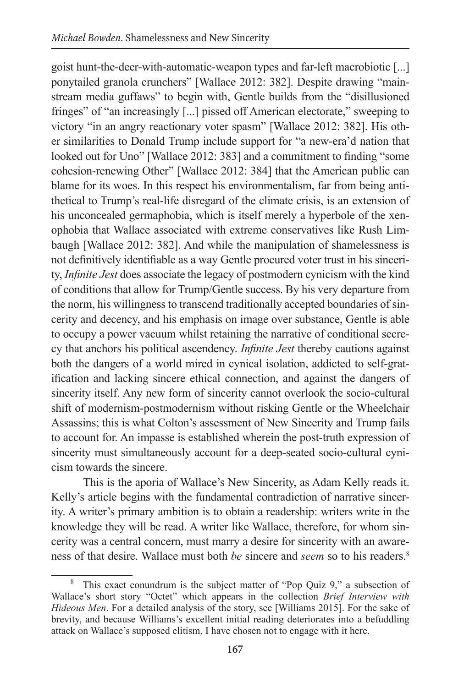goist hunt-the-deer-with-automatic-weapon types and far-left macrobiotic [...] ponytailed granola crunchers" [Wallace 2012: 382]. Despite drawing "mainstream media guffaws" to begin with, Gentle builds from the "disillusioned fringes" of "an increasingly [...] pissed off American electorate," sweeping to victory "in an angry reactionary voter spasm" [Wallace 2012: 382]. His other similarities to Donald Trump include support for "a new-era'd nation that looked out for Uno" [Wallace 2012: 383] and a commitment to finding "some cohesion-renewing Other" [Wallace 2012: 384] that the American public can blame for its woes. In this respect his environmentalism, far from being antithetical to Trump's real-life disregard of the climate crisis, is an extension of his unconcealed germaphobia, which is itself merely a hyperbole of the xenophobia that Wallace associated with extreme conservatives like Rush Limbaugh [Wallace 2012: 382]. And while the manipulation of shamelessness is not definitively identifiable as a way Gentle procured voter trust in his sincerity, *Infinite Jest* does associate the legacy of postmodern cynicism with the kind of conditions that allow for Trump/Gentle success. By his very departure from the norm, his willingness to transcend traditionally accepted boundaries of sincerity and decency, and his emphasis on image over substance, Gentle is able to occupy a power vacuum whilst retaining the narrative of conditional secrecy that anchors his political ascendency. *Infinite Jest* thereby cautions against both the dangers of a world mired in cynical isolation, addicted to self-gratification and lacking sincere ethical connection, and against the dangers of sincerity itself. Any new form of sincerity cannot overlook the socio-cultural shift of modernism-postmodernism without risking Gentle or the Wheelchair Assassins; this is what Colton's assessment of New Sincerity and Trump fails to account for. An impasse is established wherein the post-truth expression of sincerity must simultaneously account for a deep-seated socio-cultural cynicism towards the sincere.

This is the aporia of Wallace's New Sincerity, as Adam Kelly reads it. Kelly's article begins with the fundamental contradiction of narrative sincerity. A writer's primary ambition is to obtain a readership: writers write in the knowledge they will be read. A writer like Wallace, therefore, for whom sincerity was a central concern, must marry a desire for sincerity with an awareness of that desire. Wallace must both *be* sincere and *seem* so to his readers.<sup>8</sup>

This exact conundrum is the subject matter of "Pop Quiz 9," a subsection of Wallace's short story "Octet" which appears in the collection *Brief Interview with Hideous Men*. For a detailed analysis of the story, see [Williams 2015]. For the sake of brevity, and because Williams's excellent initial reading deteriorates into a befuddling attack on Wallace's supposed elitism, I have chosen not to engage with it here.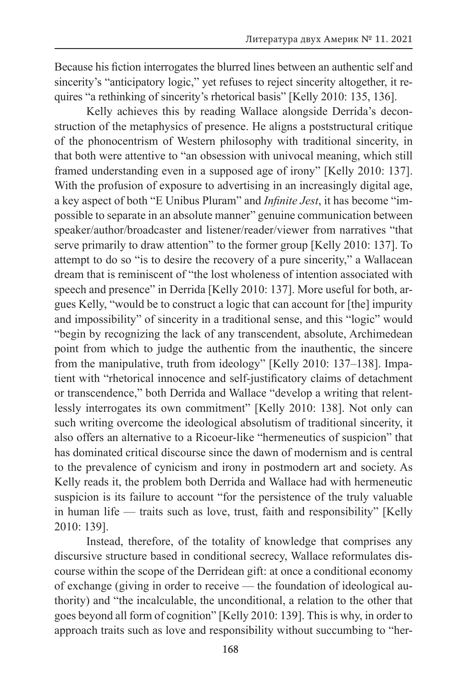Because his fiction interrogates the blurred lines between an authentic self and sincerity's "anticipatory logic," yet refuses to reject sincerity altogether, it requires "a rethinking of sincerity's rhetorical basis" [Kelly 2010: 135, 136].

Kelly achieves this by reading Wallace alongside Derrida's deconstruction of the metaphysics of presence. He aligns a poststructural critique of the phonocentrism of Western philosophy with traditional sincerity, in that both were attentive to "an obsession with univocal meaning, which still framed understanding even in a supposed age of irony" [Kelly 2010: 137]. With the profusion of exposure to advertising in an increasingly digital age, a key aspect of both "E Unibus Pluram" and *Infinite Jest*, it has become "impossible to separate in an absolute manner" genuine communication between speaker/author/broadcaster and listener/reader/viewer from narratives "that serve primarily to draw attention" to the former group [Kelly 2010: 137]. To attempt to do so "is to desire the recovery of a pure sincerity," a Wallacean dream that is reminiscent of "the lost wholeness of intention associated with speech and presence" in Derrida [Kelly 2010: 137]. More useful for both, argues Kelly, "would be to construct a logic that can account for [the] impurity and impossibility" of sincerity in a traditional sense, and this "logic" would "begin by recognizing the lack of any transcendent, absolute, Archimedean point from which to judge the authentic from the inauthentic, the sincere from the manipulative, truth from ideology" [Kelly 2010: 137–138]. Impatient with "rhetorical innocence and self-justificatory claims of detachment or transcendence," both Derrida and Wallace "develop a writing that relentlessly interrogates its own commitment" [Kelly 2010: 138]. Not only can such writing overcome the ideological absolutism of traditional sincerity, it also offers an alternative to a Ricoeur-like "hermeneutics of suspicion" that has dominated critical discourse since the dawn of modernism and is central to the prevalence of cynicism and irony in postmodern art and society. As Kelly reads it, the problem both Derrida and Wallace had with hermeneutic suspicion is its failure to account "for the persistence of the truly valuable in human life — traits such as love, trust, faith and responsibility" [Kelly 2010: 139].

Instead, therefore, of the totality of knowledge that comprises any discursive structure based in conditional secrecy, Wallace reformulates discourse within the scope of the Derridean gift: at once a conditional economy of exchange (giving in order to receive — the foundation of ideological authority) and "the incalculable, the unconditional, a relation to the other that goes beyond all form of cognition" [Kelly 2010: 139]. This is why, in order to approach traits such as love and responsibility without succumbing to "her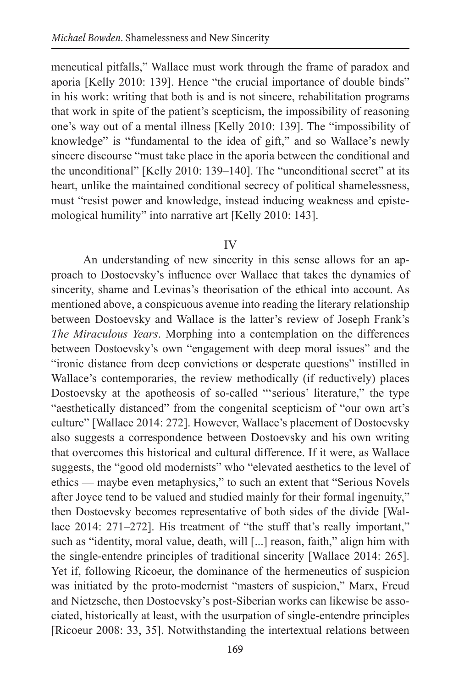meneutical pitfalls," Wallace must work through the frame of paradox and aporia [Kelly 2010: 139]. Hence "the crucial importance of double binds" in his work: writing that both is and is not sincere, rehabilitation programs that work in spite of the patient's scepticism, the impossibility of reasoning one's way out of a mental illness [Kelly 2010: 139]. The "impossibility of knowledge" is "fundamental to the idea of gift," and so Wallace's newly sincere discourse "must take place in the aporia between the conditional and the unconditional" [Kelly 2010: 139–140]. The "unconditional secret" at its heart, unlike the maintained conditional secrecy of political shamelessness, must "resist power and knowledge, instead inducing weakness and epistemological humility" into narrative art [Kelly 2010: 143].

### IV

An understanding of new sincerity in this sense allows for an approach to Dostoevsky's influence over Wallace that takes the dynamics of sincerity, shame and Levinas's theorisation of the ethical into account. As mentioned above, a conspicuous avenue into reading the literary relationship between Dostoevsky and Wallace is the latter's review of Joseph Frank's *The Miraculous Years*. Morphing into a contemplation on the differences between Dostoevsky's own "engagement with deep moral issues" and the "ironic distance from deep convictions or desperate questions" instilled in Wallace's contemporaries, the review methodically (if reductively) places Dostoevsky at the apotheosis of so-called "'serious' literature," the type "aesthetically distanced" from the congenital scepticism of "our own art's culture" [Wallace 2014: 272]. However, Wallace's placement of Dostoevsky also suggests a correspondence between Dostoevsky and his own writing that overcomes this historical and cultural difference. If it were, as Wallace suggests, the "good old modernists" who "elevated aesthetics to the level of ethics — maybe even metaphysics," to such an extent that "Serious Novels after Joyce tend to be valued and studied mainly for their formal ingenuity," then Dostoevsky becomes representative of both sides of the divide [Wallace 2014: 271–272]. His treatment of "the stuff that's really important," such as "identity, moral value, death, will [...] reason, faith," align him with the single-entendre principles of traditional sincerity [Wallace 2014: 265]. Yet if, following Ricoeur, the dominance of the hermeneutics of suspicion was initiated by the proto-modernist "masters of suspicion," Marx, Freud and Nietzsche, then Dostoevsky's post-Siberian works can likewise be associated, historically at least, with the usurpation of single-entendre principles [Ricoeur 2008: 33, 35]. Notwithstanding the intertextual relations between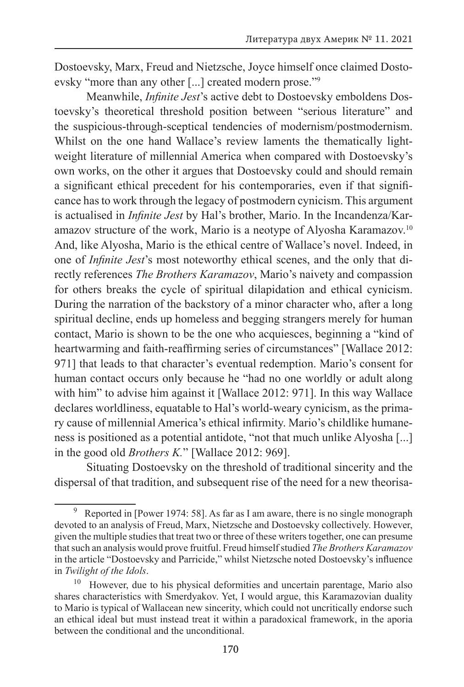Dostoevsky, Marx, Freud and Nietzsche, Joyce himself once claimed Dostoevsky "more than any other [...] created modern prose."9

Meanwhile, *Infinite Jest*'s active debt to Dostoevsky emboldens Dostoevsky's theoretical threshold position between "serious literature" and the suspicious-through-sceptical tendencies of modernism/postmodernism. Whilst on the one hand Wallace's review laments the thematically lightweight literature of millennial America when compared with Dostoevsky's own works, on the other it argues that Dostoevsky could and should remain a significant ethical precedent for his contemporaries, even if that significance has to work through the legacy of postmodern cynicism. This argument is actualised in *Infinite Jest* by Hal's brother, Mario. In the Incandenza/Karamazov structure of the work, Mario is a neotype of Alyosha Karamazov.<sup>10</sup> And, like Alyosha, Mario is the ethical centre of Wallace's novel. Indeed, in one of *Infinite Jest*'s most noteworthy ethical scenes, and the only that directly references *The Brothers Karamazov*, Mario's naivety and compassion for others breaks the cycle of spiritual dilapidation and ethical cynicism. During the narration of the backstory of a minor character who, after a long spiritual decline, ends up homeless and begging strangers merely for human contact, Mario is shown to be the one who acquiesces, beginning a "kind of heartwarming and faith-reaffirming series of circumstances" [Wallace 2012: 971] that leads to that character's eventual redemption. Mario's consent for human contact occurs only because he "had no one worldly or adult along with him" to advise him against it [Wallace 2012: 971]. In this way Wallace declares worldliness, equatable to Hal's world-weary cynicism, as the primary cause of millennial America's ethical infirmity. Mario's childlike humaneness is positioned as a potential antidote, "not that much unlike Alyosha [...] in the good old *Brothers K.*" [Wallace 2012: 969].

Situating Dostoevsky on the threshold of traditional sincerity and the dispersal of that tradition, and subsequent rise of the need for a new theorisa-

Reported in [Power 1974: 58]. As far as I am aware, there is no single monograph devoted to an analysis of Freud, Marx, Nietzsche and Dostoevsky collectively. However, given the multiple studies that treat two or three of these writers together, one can presume that such an analysis would prove fruitful. Freud himself studied *The Brothers Karamazov* in the article "Dostoevsky and Parricide," whilst Nietzsche noted Dostoevsky's influence in *Twilight of the Idols*.<br><sup>10</sup> However, due to his physical deformities and uncertain parentage, Mario also

shares characteristics with Smerdyakov. Yet, I would argue, this Karamazovian duality to Mario is typical of Wallacean new sincerity, which could not uncritically endorse such an ethical ideal but must instead treat it within a paradoxical framework, in the aporia between the conditional and the unconditional.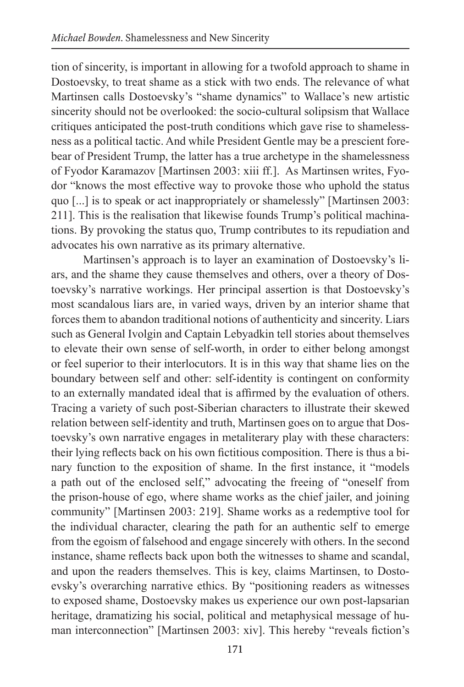tion of sincerity, is important in allowing for a twofold approach to shame in Dostoevsky, to treat shame as a stick with two ends. The relevance of what Martinsen calls Dostoevsky's "shame dynamics" to Wallace's new artistic sincerity should not be overlooked: the socio-cultural solipsism that Wallace critiques anticipated the post-truth conditions which gave rise to shamelessness as a political tactic. And while President Gentle may be a prescient forebear of President Trump, the latter has a true archetype in the shamelessness of Fyodor Karamazov [Martinsen 2003: xiii ff.]. As Martinsen writes, Fyodor "knows the most effective way to provoke those who uphold the status quo [...] is to speak or act inappropriately or shamelessly" [Martinsen 2003: 211]. This is the realisation that likewise founds Trump's political machinations. By provoking the status quo, Trump contributes to its repudiation and advocates his own narrative as its primary alternative.

Martinsen's approach is to layer an examination of Dostoevsky's liars, and the shame they cause themselves and others, over a theory of Dostoevsky's narrative workings. Her principal assertion is that Dostoevsky's most scandalous liars are, in varied ways, driven by an interior shame that forces them to abandon traditional notions of authenticity and sincerity. Liars such as General Ivolgin and Captain Lebyadkin tell stories about themselves to elevate their own sense of self-worth, in order to either belong amongst or feel superior to their interlocutors. It is in this way that shame lies on the boundary between self and other: self-identity is contingent on conformity to an externally mandated ideal that is affirmed by the evaluation of others. Tracing a variety of such post-Siberian characters to illustrate their skewed relation between self-identity and truth, Martinsen goes on to argue that Dostoevsky's own narrative engages in metaliterary play with these characters: their lying reflects back on his own fictitious composition. There is thus a binary function to the exposition of shame. In the first instance, it "models a path out of the enclosed self," advocating the freeing of "oneself from the prison-house of ego, where shame works as the chief jailer, and joining community" [Martinsen 2003: 219]. Shame works as a redemptive tool for the individual character, clearing the path for an authentic self to emerge from the egoism of falsehood and engage sincerely with others. In the second instance, shame reflects back upon both the witnesses to shame and scandal, and upon the readers themselves. This is key, claims Martinsen, to Dostoevsky's overarching narrative ethics. By "positioning readers as witnesses to exposed shame, Dostoevsky makes us experience our own post-lapsarian heritage, dramatizing his social, political and metaphysical message of human interconnection" [Martinsen 2003: xiv]. This hereby "reveals fiction's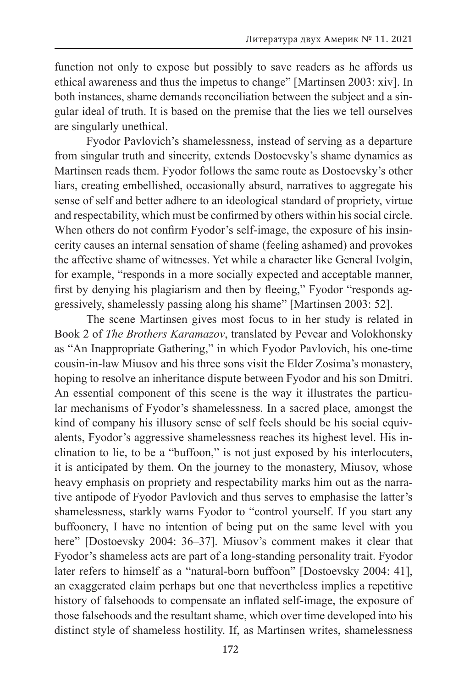function not only to expose but possibly to save readers as he affords us ethical awareness and thus the impetus to change" [Martinsen 2003: xiv]. In both instances, shame demands reconciliation between the subject and a singular ideal of truth. It is based on the premise that the lies we tell ourselves are singularly unethical.

Fyodor Pavlovich's shamelessness, instead of serving as a departure from singular truth and sincerity, extends Dostoevsky's shame dynamics as Martinsen reads them. Fyodor follows the same route as Dostoevsky's other liars, creating embellished, occasionally absurd, narratives to aggregate his sense of self and better adhere to an ideological standard of propriety, virtue and respectability, which must be confirmed by others within his social circle. When others do not confirm Fyodor's self-image, the exposure of his insincerity causes an internal sensation of shame (feeling ashamed) and provokes the affective shame of witnesses. Yet while a character like General Ivolgin, for example, "responds in a more socially expected and acceptable manner, first by denying his plagiarism and then by fleeing," Fyodor "responds aggressively, shamelessly passing along his shame" [Martinsen 2003: 52].

The scene Martinsen gives most focus to in her study is related in Book 2 of *The Brothers Karamazov*, translated by Pevear and Volokhonsky as "An Inappropriate Gathering," in which Fyodor Pavlovich, his one-time cousin-in-law Miusov and his three sons visit the Elder Zosima's monastery, hoping to resolve an inheritance dispute between Fyodor and his son Dmitri. An essential component of this scene is the way it illustrates the particular mechanisms of Fyodor's shamelessness. In a sacred place, amongst the kind of company his illusory sense of self feels should be his social equivalents, Fyodor's aggressive shamelessness reaches its highest level. His inclination to lie, to be a "buffoon," is not just exposed by his interlocuters, it is anticipated by them. On the journey to the monastery, Miusov, whose heavy emphasis on propriety and respectability marks him out as the narrative antipode of Fyodor Pavlovich and thus serves to emphasise the latter's shamelessness, starkly warns Fyodor to "control yourself. If you start any buffoonery, I have no intention of being put on the same level with you here" [Dostoevsky 2004: 36-37]. Miusov's comment makes it clear that Fyodor's shameless acts are part of a long-standing personality trait. Fyodor later refers to himself as a "natural-born buffoon" [Dostoevsky 2004: 41], an exaggerated claim perhaps but one that nevertheless implies a repetitive history of falsehoods to compensate an inflated self-image, the exposure of those falsehoods and the resultant shame, which over time developed into his distinct style of shameless hostility. If, as Martinsen writes, shamelessness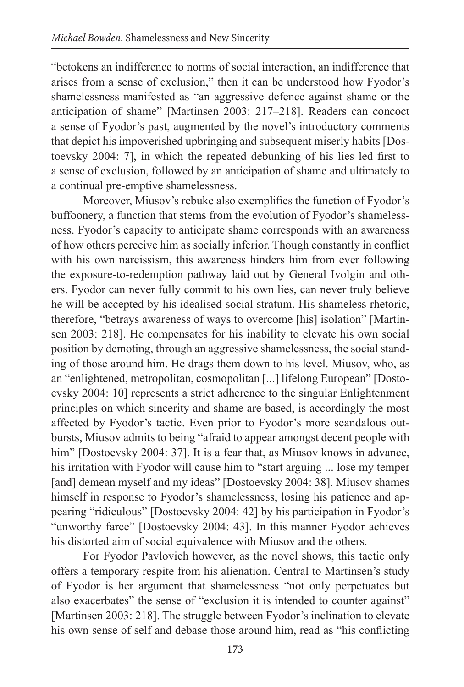"betokens an indifference to norms of social interaction, an indifference that arises from a sense of exclusion," then it can be understood how Fyodor's shamelessness manifested as "an aggressive defence against shame or the anticipation of shame" [Martinsen 2003: 217–218]. Readers can concoct a sense of Fyodor's past, augmented by the novel's introductory comments that depict his impoverished upbringing and subsequent miserly habits [Dostoevsky 2004: 7], in which the repeated debunking of his lies led first to a sense of exclusion, followed by an anticipation of shame and ultimately to a continual pre-emptive shamelessness.

Moreover, Miusov's rebuke also exemplifies the function of Fyodor's buffoonery, a function that stems from the evolution of Fyodor's shamelessness. Fyodor's capacity to anticipate shame corresponds with an awareness of how others perceive him as socially inferior. Though constantly in conflict with his own narcissism, this awareness hinders him from ever following the exposure-to-redemption pathway laid out by General Ivolgin and others. Fyodor can never fully commit to his own lies, can never truly believe he will be accepted by his idealised social stratum. His shameless rhetoric, therefore, "betrays awareness of ways to overcome [his] isolation" [Martinsen 2003: 218]. He compensates for his inability to elevate his own social position by demoting, through an aggressive shamelessness, the social standing of those around him. He drags them down to his level. Miusov, who, as an "enlightened, metropolitan, cosmopolitan [...] lifelong European" [Dostoevsky 2004: 10] represents a strict adherence to the singular Enlightenment principles on which sincerity and shame are based, is accordingly the most affected by Fyodor's tactic. Even prior to Fyodor's more scandalous outbursts, Miusov admits to being "afraid to appear amongst decent people with him" [Dostoevsky 2004: 37]. It is a fear that, as Miusov knows in advance, his irritation with Fyodor will cause him to "start arguing ... lose my temper [and] demean myself and my ideas" [Dostoevsky 2004: 38]. Miusov shames himself in response to Fyodor's shamelessness, losing his patience and appearing "ridiculous" [Dostoevsky 2004: 42] by his participation in Fyodor's "unworthy farce" [Dostoevsky 2004: 43]. In this manner Fyodor achieves his distorted aim of social equivalence with Miusov and the others.

For Fyodor Pavlovich however, as the novel shows, this tactic only offers a temporary respite from his alienation. Central to Martinsen's study of Fyodor is her argument that shamelessness "not only perpetuates but also exacerbates" the sense of "exclusion it is intended to counter against" [Martinsen 2003: 218]. The struggle between Fyodor's inclination to elevate his own sense of self and debase those around him, read as "his conflicting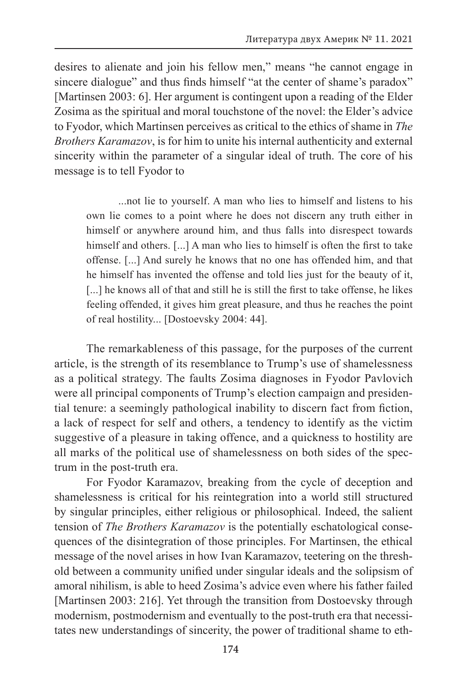desires to alienate and join his fellow men," means "he cannot engage in sincere dialogue" and thus finds himself "at the center of shame's paradox" [Martinsen 2003: 6]. Her argument is contingent upon a reading of the Elder Zosima as the spiritual and moral touchstone of the novel: the Elder's advice to Fyodor, which Martinsen perceives as critical to the ethics of shame in *The Brothers Karamazov*, is for him to unite his internal authenticity and external sincerity within the parameter of a singular ideal of truth. The core of his message is to tell Fyodor to

...not lie to yourself. A man who lies to himself and listens to his own lie comes to a point where he does not discern any truth either in himself or anywhere around him, and thus falls into disrespect towards himself and others. [...] A man who lies to himself is often the first to take offense. [...] And surely he knows that no one has offended him, and that he himself has invented the offense and told lies just for the beauty of it, [...] he knows all of that and still he is still the first to take offense, he likes feeling offended, it gives him great pleasure, and thus he reaches the point of real hostility... [Dostoevsky 2004: 44].

The remarkableness of this passage, for the purposes of the current article, is the strength of its resemblance to Trump's use of shamelessness as a political strategy. The faults Zosima diagnoses in Fyodor Pavlovich were all principal components of Trump's election campaign and presidential tenure: a seemingly pathological inability to discern fact from fiction, a lack of respect for self and others, a tendency to identify as the victim suggestive of a pleasure in taking offence, and a quickness to hostility are all marks of the political use of shamelessness on both sides of the spectrum in the post-truth era.

For Fyodor Karamazov, breaking from the cycle of deception and shamelessness is critical for his reintegration into a world still structured by singular principles, either religious or philosophical. Indeed, the salient tension of *The Brothers Karamazov* is the potentially eschatological consequences of the disintegration of those principles. For Martinsen, the ethical message of the novel arises in how Ivan Karamazov, teetering on the threshold between a community unified under singular ideals and the solipsism of amoral nihilism, is able to heed Zosima's advice even where his father failed [Martinsen 2003: 216]. Yet through the transition from Dostoevsky through modernism, postmodernism and eventually to the post-truth era that necessitates new understandings of sincerity, the power of traditional shame to eth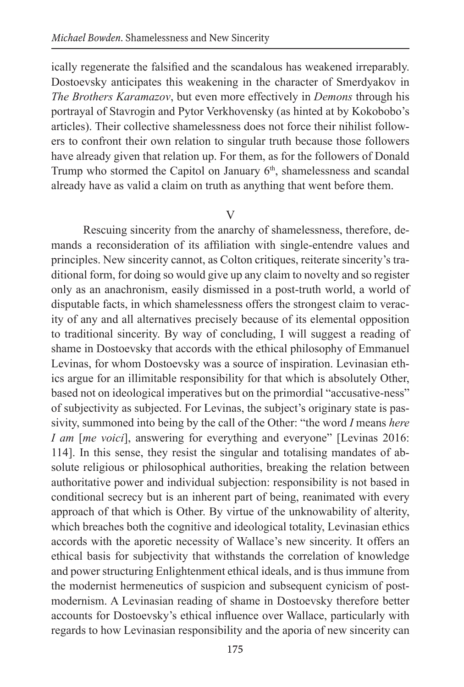ically regenerate the falsified and the scandalous has weakened irreparably. Dostoevsky anticipates this weakening in the character of Smerdyakov in *The Brothers Karamazov*, but even more effectively in *Demons* through his portrayal of Stavrogin and Pytor Verkhovensky (as hinted at by Kokobobo's articles). Their collective shamelessness does not force their nihilist followers to confront their own relation to singular truth because those followers have already given that relation up. For them, as for the followers of Donald Trump who stormed the Capitol on January  $6<sup>th</sup>$ , shamelessness and scandal already have as valid a claim on truth as anything that went before them.

#### $\mathbf{V}$

Rescuing sincerity from the anarchy of shamelessness, therefore, demands a reconsideration of its affiliation with single-entendre values and principles. New sincerity cannot, as Colton critiques, reiterate sincerity's traditional form, for doing so would give up any claim to novelty and so register only as an anachronism, easily dismissed in a post-truth world, a world of disputable facts, in which shamelessness offers the strongest claim to veracity of any and all alternatives precisely because of its elemental opposition to traditional sincerity. By way of concluding, I will suggest a reading of shame in Dostoevsky that accords with the ethical philosophy of Emmanuel Levinas, for whom Dostoevsky was a source of inspiration. Levinasian ethics argue for an illimitable responsibility for that which is absolutely Other, based not on ideological imperatives but on the primordial "accusative-ness" of subjectivity as subjected. For Levinas, the subject's originary state is passivity, summoned into being by the call of the Other: "the word *I* means *here I am [me voici]*, answering for everything and everyone" [Levinas 2016: 114]. In this sense, they resist the singular and totalising mandates of absolute religious or philosophical authorities, breaking the relation between authoritative power and individual subjection: responsibility is not based in conditional secrecy but is an inherent part of being, reanimated with every approach of that which is Other. By virtue of the unknowability of alterity, which breaches both the cognitive and ideological totality, Levinasian ethics accords with the aporetic necessity of Wallace's new sincerity. It offers an ethical basis for subjectivity that withstands the correlation of knowledge and power structuring Enlightenment ethical ideals, and is thus immune from the modernist hermeneutics of suspicion and subsequent cynicism of postmodernism. A Levinasian reading of shame in Dostoevsky therefore better accounts for Dostoevsky's ethical influence over Wallace, particularly with regards to how Levinasian responsibility and the aporia of new sincerity can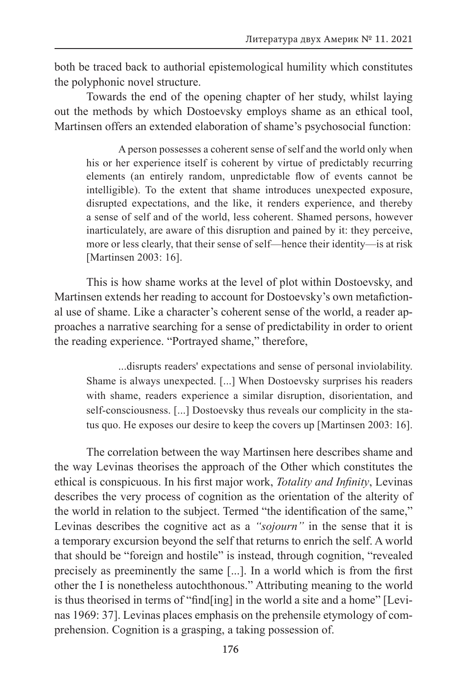both be traced back to authorial epistemological humility which constitutes the polyphonic novel structure.

Towards the end of the opening chapter of her study, whilst laying out the methods by which Dostoevsky employs shame as an ethical tool, Martinsen offers an extended elaboration of shame's psychosocial function:

A person possesses a coherent sense of self and the world only when his or her experience itself is coherent by virtue of predictably recurring elements (an entirely random, unpredictable flow of events cannot be intelligible). To the extent that shame introduces unexpected exposure, disrupted expectations, and the like, it renders experience, and thereby a sense of self and of the world, less coherent. Shamed persons, however inarticulately, are aware of this disruption and pained by it: they perceive, more or less clearly, that their sense of self—hence their identity—is at risk [Martinsen 2003: 16].

This is how shame works at the level of plot within Dostoevsky, and Martinsen extends her reading to account for Dostoevsky's own metafictional use of shame. Like a character's coherent sense of the world, a reader approaches a narrative searching for a sense of predictability in order to orient the reading experience. "Portrayed shame," therefore,

...disrupts readers' expectations and sense of personal inviolability. Shame is always unexpected. [...] When Dostoevsky surprises his readers with shame, readers experience a similar disruption, disorientation, and self-consciousness. [...] Dostoevsky thus reveals our complicity in the status quo. He exposes our desire to keep the covers up [Martinsen 2003: 16].

The correlation between the way Martinsen here describes shame and the way Levinas theorises the approach of the Other which constitutes the ethical is conspicuous. In his first major work, *Totality and Infinity*, Levinas describes the very process of cognition as the orientation of the alterity of the world in relation to the subject. Termed "the identification of the same," Levinas describes the cognitive act as a *"sojourn"* in the sense that it is a temporary excursion beyond the self that returns to enrich the self. A world that should be "foreign and hostile" is instead, through cognition, "revealed precisely as preeminently the same [...]. In a world which is from the first other the I is nonetheless autochthonous." Attributing meaning to the world is thus theorised in terms of "find[ing] in the world a site and a home" [Levinas 1969: 37]. Levinas places emphasis on the prehensile etymology of comprehension. Cognition is a grasping, a taking possession of.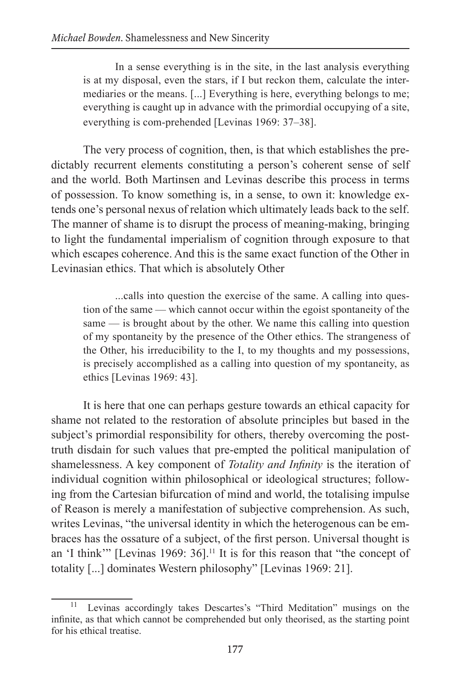In a sense everything is in the site, in the last analysis everything is at my disposal, even the stars, if I but reckon them, calculate the intermediaries or the means. [...] Everything is here, everything belongs to me; everything is caught up in advance with the primordial occupying of a site, everything is com-prehended [Levinas 1969: 37–38].

The very process of cognition, then, is that which establishes the predictably recurrent elements constituting a person's coherent sense of self and the world. Both Martinsen and Levinas describe this process in terms of possession. To know something is, in a sense, to own it: knowledge extends one's personal nexus of relation which ultimately leads back to the self. The manner of shame is to disrupt the process of meaning-making, bringing to light the fundamental imperialism of cognition through exposure to that which escapes coherence. And this is the same exact function of the Other in Levinasian ethics. That which is absolutely Other

...calls into question the exercise of the same. A calling into question of the same — which cannot occur within the egoist spontaneity of the same — is brought about by the other. We name this calling into question of my spontaneity by the presence of the Other ethics. The strangeness of the Other, his irreducibility to the I, to my thoughts and my possessions, is precisely accomplished as a calling into question of my spontaneity, as ethics [Levinas 1969: 43].

It is here that one can perhaps gesture towards an ethical capacity for shame not related to the restoration of absolute principles but based in the subject's primordial responsibility for others, thereby overcoming the posttruth disdain for such values that pre-empted the political manipulation of shamelessness. A key component of *Totality and Infinity* is the iteration of individual cognition within philosophical or ideological structures; following from the Cartesian bifurcation of mind and world, the totalising impulse of Reason is merely a manifestation of subjective comprehension. As such, writes Levinas, "the universal identity in which the heterogenous can be embraces has the ossature of a subject, of the first person. Universal thought is an 'I think'" [Levinas 1969: 36].<sup>11</sup> It is for this reason that "the concept of totality [...] dominates Western philosophy" [Levinas 1969: 21].

<sup>11</sup> Levinas accordingly takes Descartes's "Third Meditation" musings on the infinite, as that which cannot be comprehended but only theorised, as the starting point for his ethical treatise.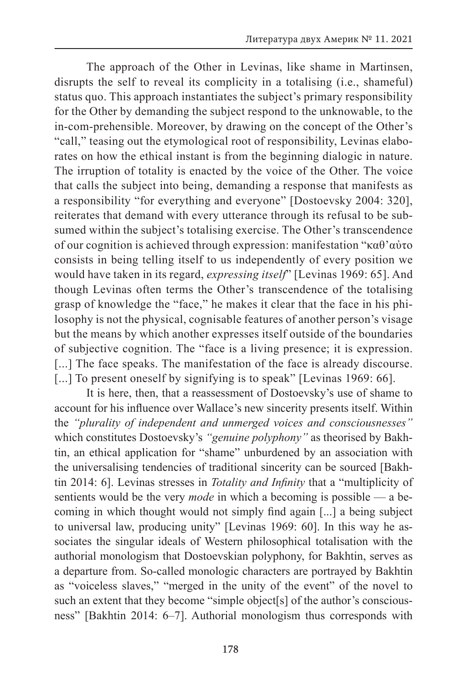The approach of the Other in Levinas, like shame in Martinsen, disrupts the self to reveal its complicity in a totalising (i.e., shameful) status quo. This approach instantiates the subject's primary responsibility for the Other by demanding the subject respond to the unknowable, to the in-com-prehensible. Moreover, by drawing on the concept of the Other's "call," teasing out the etymological root of responsibility, Levinas elaborates on how the ethical instant is from the beginning dialogic in nature. The irruption of totality is enacted by the voice of the Other. The voice that calls the subject into being, demanding a response that manifests as a responsibility "for everything and everyone" [Dostoevsky 2004: 320], reiterates that demand with every utterance through its refusal to be subsumed within the subject's totalising exercise. The Other's transcendence of our cognition is achieved through expression: manifestation "καθ'αὐτο consists in being telling itself to us independently of every position we would have taken in its regard, *expressing itself*" [Levinas 1969: 65]. And though Levinas often terms the Other's transcendence of the totalising grasp of knowledge the "face," he makes it clear that the face in his philosophy is not the physical, cognisable features of another person's visage but the means by which another expresses itself outside of the boundaries of subjective cognition. The "face is a living presence; it is expression. [...] The face speaks. The manifestation of the face is already discourse. [...] To present oneself by signifying is to speak" [Levinas 1969: 66].

It is here, then, that a reassessment of Dostoevsky's use of shame to account for his influence over Wallace's new sincerity presents itself. Within the *"plurality of independent and unmerged voices and consciousnesses"* which constitutes Dostoevsky's *"genuine polyphony"* as theorised by Bakhtin, an ethical application for "shame" unburdened by an association with the universalising tendencies of traditional sincerity can be sourced [Bakhtin 2014: 6]. Levinas stresses in *Totality and Infinity* that a "multiplicity of sentients would be the very *mode* in which a becoming is possible — a becoming in which thought would not simply find again [...] a being subject to universal law, producing unity" [Levinas 1969: 60]. In this way he associates the singular ideals of Western philosophical totalisation with the authorial monologism that Dostoevskian polyphony, for Bakhtin, serves as a departure from. So-called monologic characters are portrayed by Bakhtin as "voiceless slaves," "merged in the unity of the event" of the novel to such an extent that they become "simple object[s] of the author's consciousness" [Bakhtin 2014: 6–7]. Authorial monologism thus corresponds with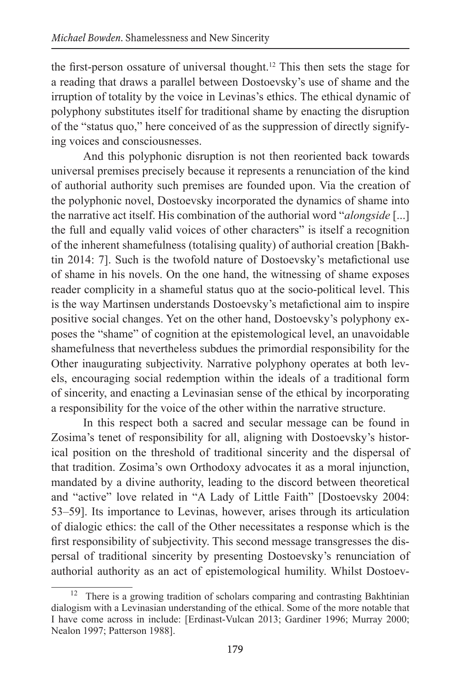the first-person ossature of universal thought.<sup>12</sup> This then sets the stage for a reading that draws a parallel between Dostoevsky's use of shame and the irruption of totality by the voice in Levinas's ethics. The ethical dynamic of polyphony substitutes itself for traditional shame by enacting the disruption of the "status quo," here conceived of as the suppression of directly signifying voices and consciousnesses.

And this polyphonic disruption is not then reoriented back towards universal premises precisely because it represents a renunciation of the kind of authorial authority such premises are founded upon. Via the creation of the polyphonic novel, Dostoevsky incorporated the dynamics of shame into the narrative act itself. His combination of the authorial word "*alongside* [...] the full and equally valid voices of other characters" is itself a recognition of the inherent shamefulness (totalising quality) of authorial creation [Bakhtin 2014: 7]. Such is the twofold nature of Dostoevsky's metafictional use of shame in his novels. On the one hand, the witnessing of shame exposes reader complicity in a shameful status quo at the socio-political level. This is the way Martinsen understands Dostoevsky's metafictional aim to inspire positive social changes. Yet on the other hand, Dostoevsky's polyphony exposes the "shame" of cognition at the epistemological level, an unavoidable shamefulness that nevertheless subdues the primordial responsibility for the Other inaugurating subjectivity. Narrative polyphony operates at both levels, encouraging social redemption within the ideals of a traditional form of sincerity, and enacting a Levinasian sense of the ethical by incorporating a responsibility for the voice of the other within the narrative structure.

In this respect both a sacred and secular message can be found in Zosima's tenet of responsibility for all, aligning with Dostoevsky's historical position on the threshold of traditional sincerity and the dispersal of that tradition. Zosima's own Orthodoxy advocates it as a moral injunction, mandated by a divine authority, leading to the discord between theoretical and "active" love related in "A Lady of Little Faith" [Dostoevsky 2004: 53–59]. Its importance to Levinas, however, arises through its articulation of dialogic ethics: the call of the Other necessitates a response which is the first responsibility of subjectivity. This second message transgresses the dispersal of traditional sincerity by presenting Dostoevsky's renunciation of authorial authority as an act of epistemological humility. Whilst Dostoev-

<sup>&</sup>lt;sup>12</sup> There is a growing tradition of scholars comparing and contrasting Bakhtinian dialogism with a Levinasian understanding of the ethical. Some of the more notable that I have come across in include: [Erdinast-Vulcan 2013; Gardiner 1996; Murray 2000; Nealon 1997; Patterson 1988].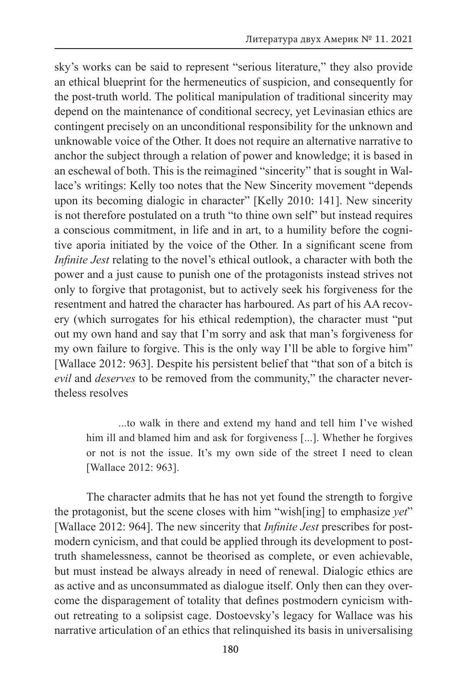sky's works can be said to represent "serious literature," they also provide an ethical blueprint for the hermeneutics of suspicion, and consequently for the post-truth world. The political manipulation of traditional sincerity may depend on the maintenance of conditional secrecy, yet Levinasian ethics are contingent precisely on an unconditional responsibility for the unknown and unknowable voice of the Other. It does not require an alternative narrative to anchor the subject through a relation of power and knowledge; it is based in an eschewal of both. This is the reimagined "sincerity" that is sought in Wallace's writings: Kelly too notes that the New Sincerity movement "depends upon its becoming dialogic in character" [Kelly 2010: 141]. New sincerity is not therefore postulated on a truth "to thine own self" but instead requires a conscious commitment, in life and in art, to a humility before the cognitive aporia initiated by the voice of the Other. In a significant scene from *Infinite Jest* relating to the novel's ethical outlook, a character with both the power and a just cause to punish one of the protagonists instead strives not only to forgive that protagonist, but to actively seek his forgiveness for the resentment and hatred the character has harboured. As part of his AA recovery (which surrogates for his ethical redemption), the character must "put out my own hand and say that I'm sorry and ask that man's forgiveness for my own failure to forgive. This is the only way I'll be able to forgive him" [Wallace 2012: 963]. Despite his persistent belief that "that son of a bitch is *evil* and *deserves* to be removed from the community," the character nevertheless resolves

...to walk in there and extend my hand and tell him I've wished him ill and blamed him and ask for forgiveness [...]. Whether he forgives or not is not the issue. It's my own side of the street I need to clean [Wallace 2012: 963].

The character admits that he has not yet found the strength to forgive the protagonist, but the scene closes with him "wish[ing] to emphasize *yet*" [Wallace 2012: 964]. The new sincerity that *Infinite Jest* prescribes for postmodern cynicism, and that could be applied through its development to posttruth shamelessness, cannot be theorised as complete, or even achievable, but must instead be always already in need of renewal. Dialogic ethics are as active and as unconsummated as dialogue itself. Only then can they overcome the disparagement of totality that defines postmodern cynicism without retreating to a solipsist cage. Dostoevsky's legacy for Wallace was his narrative articulation of an ethics that relinquished its basis in universalising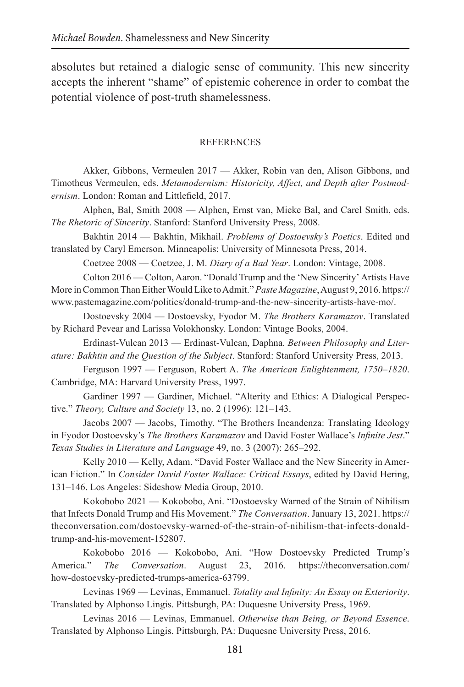absolutes but retained a dialogic sense of community. This new sincerity accepts the inherent "shame" of epistemic coherence in order to combat the potential violence of post-truth shamelessness.

#### **REFERENCES**

Akker, Gibbons, Vermeulen 2017 — Akker, Robin van den, Alison Gibbons, and Timotheus Vermeulen, eds. *Metamodernism: Historicity, Affect, and Depth after Postmodernism*. London: Roman and Littlefield, 2017.

Alphen, Bal, Smith 2008 — Alphen, Ernst van, Mieke Bal, and Carel Smith, eds. *The Rhetoric of Sincerity*. Stanford: Stanford University Press, 2008.

Bakhtin 2014 — Bakhtin, Mikhail. *Problems of Dostoevsky's Poetics*. Edited and translated by Caryl Emerson. Minneapolis: University of Minnesota Press, 2014.

Coetzee 2008 — Coetzee, J. M. *Diary of a Bad Year*. London: Vintage, 2008.

Colton 2016 — Colton, Aaron. "Donald Trump and the ʻNew Sincerity' Artists Have More in Common Than Either Would Like to Admit." *Paste Magazine*, August 9, 2016. https:// www.pastemagazine.com/politics/donald-trump-and-the-new-sincerity-artists-have-mo/.

Dostoevsky 2004 — Dostoevsky, Fyodor M. *The Brothers Karamazov*. Translated by Richard Pevear and Larissa Volokhonsky. London: Vintage Books, 2004.

Erdinast-Vulcan 2013 — Erdinast-Vulcan, Daphna. *Between Philosophy and Literature: Bakhtin and the Question of the Subject*. Stanford: Stanford University Press, 2013.

Ferguson 1997 — Ferguson, Robert A. *The American Enlightenment, 1750–1820*. Cambridge, MA: Harvard University Press, 1997.

Gardiner 1997 — Gardiner, Michael. "Alterity and Ethics: A Dialogical Perspective." *Theory, Culture and Society* 13, no. 2 (1996): 121–143.

Jacobs 2007 — Jacobs, Timothy. "The Brothers Incandenza: Translating Ideology in Fyodor Dostoevsky's *The Brothers Karamazov* and David Foster Wallace's *Infinite Jest*." *Texas Studies in Literature and Language* 49, no. 3 (2007): 265–292.

Kelly 2010 — Kelly, Adam. "David Foster Wallace and the New Sincerity in American Fiction." In *Consider David Foster Wallace: Critical Essays*, edited by David Hering, 131–146. Los Angeles: Sideshow Media Group, 2010.

Kokobobo 2021 — Kokobobo, Ani. "Dostoevsky Warned of the Strain of Nihilism that Infects Donald Trump and His Movement." *The Conversation*. January 13, 2021. https:// theconversation.com/dostoevsky-warned-of-the-strain-of-nihilism-that-infects-donaldtrump-and-his-movement-152807.

Kokobobo 2016 — Kokobobo, Ani. "How Dostoevsky Predicted Trump's America." *The Conversation*. August 23, 2016. https://theconversation.com/ how-dostoevsky-predicted-trumps-america-63799.

Levinas 1969 — Levinas, Emmanuel. *Totality and Infinity: An Essay on Exteriority*. Translated by Alphonso Lingis. Pittsburgh, PA: Duquesne University Press, 1969.

Levinas 2016 — Levinas, Emmanuel. *Otherwise than Being, or Beyond Essence*. Translated by Alphonso Lingis. Pittsburgh, PA: Duquesne University Press, 2016.